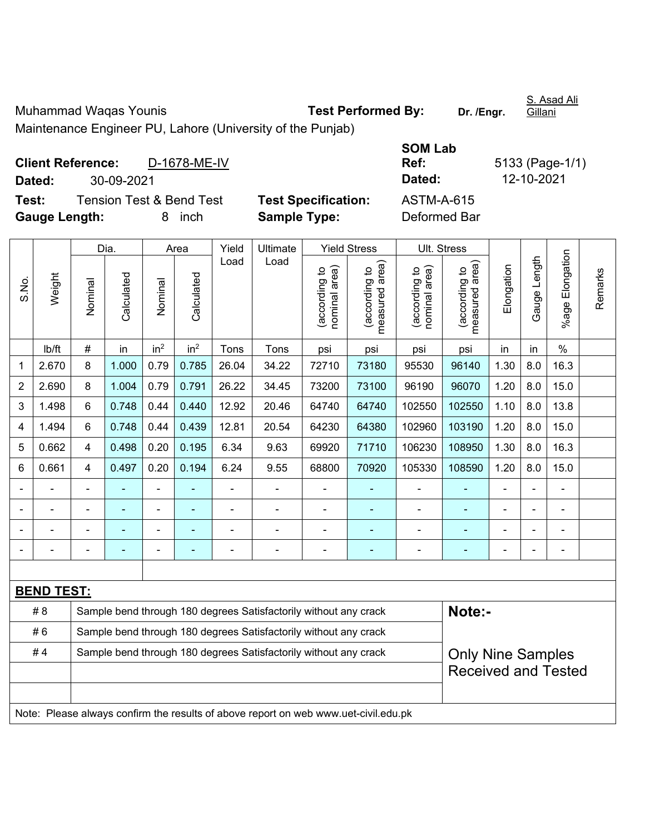Muhammad Waqas Younis **Test Performed By:** Dr. /Engr.

S. Asad Ali Gillani

Maintenance Engineer PU, Lahore (University of the Punjab)

| <b>Client Reference:</b> |            | D-1678-ME-IV             |                            | Ref:         | 5133 (Page-1 |
|--------------------------|------------|--------------------------|----------------------------|--------------|--------------|
| Dated:                   | 30-09-2021 |                          |                            | Dated:       | 12-10-2021   |
| Test:                    |            | Tension Test & Bend Test | <b>Test Specification:</b> | ASTM-A-615   |              |
| <b>Gauge Length:</b>     |            | inch<br>8.               | <b>Sample Type:</b>        | Deformed Bar |              |

| SOM Lab       |                 |
|---------------|-----------------|
| Ref:          | 5133 (Page-1/1) |
| <b>Dated:</b> | 12-10-2021      |
| ASTM-A-615    |                 |
| Deformed Bar  |                 |

|                |                   |                                                                                     | Dia.                                                                       |                                                                                              | Area            | Yield          | Ultimate |                                | <b>Yield Stress</b>             |                                | Ult. Stress                     |                |              |                       |         |
|----------------|-------------------|-------------------------------------------------------------------------------------|----------------------------------------------------------------------------|----------------------------------------------------------------------------------------------|-----------------|----------------|----------|--------------------------------|---------------------------------|--------------------------------|---------------------------------|----------------|--------------|-----------------------|---------|
| S.No.          | Weight            | Nominal                                                                             | Calculated                                                                 | Nominal                                                                                      | Calculated      | Load           | Load     | nominal area)<br>(according to | (according to<br>measured area) | nominal area)<br>(according to | (according to<br>measured area) | Elongation     | Gauge Length | Elongation<br>$%$ age | Remarks |
|                | lb/ft             | $\#$                                                                                | in                                                                         | in <sup>2</sup>                                                                              | in <sup>2</sup> | Tons           | Tons     | psi                            | psi                             | psi                            | psi                             | in             | in           | $\%$                  |         |
| 1              | 2.670             | 8                                                                                   | 1.000                                                                      | 0.79                                                                                         | 0.785           | 26.04          | 34.22    | 72710                          | 73180                           | 95530                          | 96140                           | 1.30           | 8.0          | 16.3                  |         |
| $\overline{2}$ | 2.690             | 8                                                                                   | 1.004                                                                      | 0.79                                                                                         | 0.791           | 26.22          | 34.45    | 73200                          | 73100                           | 96190                          | 96070                           | 1.20           | 8.0          | 15.0                  |         |
| 3              | 1.498             | 6                                                                                   | 0.748                                                                      | 0.44                                                                                         | 0.440           | 12.92          | 20.46    | 64740                          | 64740                           | 102550                         | 102550                          | 1.10           | 8.0          | 13.8                  |         |
| 4              | 1.494             | 6                                                                                   | 0.748                                                                      | 0.44                                                                                         | 0.439           | 12.81          | 20.54    | 64230                          | 64380                           | 102960                         | 103190                          | 1.20           | 8.0          | 15.0                  |         |
| 5              | 0.662             | $\overline{4}$                                                                      | 0.498                                                                      | 0.20                                                                                         | 0.195           | 6.34           | 9.63     | 69920                          | 71710                           | 106230                         | 108950                          | 1.30           | 8.0          | 16.3                  |         |
| 6              | 0.661             | 4                                                                                   | 0.497                                                                      | 0.20                                                                                         | 0.194           | 6.24           | 9.55     | 68800                          | 70920                           | 105330                         | 108590                          | 1.20           | 8.0          | 15.0                  |         |
|                | $\blacksquare$    | $\blacksquare$                                                                      | ÷,                                                                         | $\blacksquare$                                                                               |                 | $\blacksquare$ | ä,       | $\blacksquare$                 |                                 | $\blacksquare$                 | $\blacksquare$                  | $\blacksquare$ |              | $\blacksquare$        |         |
|                |                   |                                                                                     | ä,                                                                         | $\blacksquare$                                                                               |                 | $\blacksquare$ | ä,       | ÷,                             |                                 | $\blacksquare$                 | ÷                               |                |              | ä,                    |         |
|                |                   |                                                                                     |                                                                            |                                                                                              |                 |                |          | $\blacksquare$                 |                                 |                                | $\blacksquare$                  |                |              |                       |         |
|                |                   |                                                                                     |                                                                            |                                                                                              |                 |                |          | $\overline{\phantom{0}}$       |                                 |                                | ÷                               |                |              | Ē,                    |         |
|                |                   |                                                                                     |                                                                            |                                                                                              |                 |                |          |                                |                                 |                                |                                 |                |              |                       |         |
|                | <b>BEND TEST:</b> |                                                                                     |                                                                            |                                                                                              |                 |                |          |                                |                                 |                                |                                 |                |              |                       |         |
|                | #8                |                                                                                     | Note:-<br>Sample bend through 180 degrees Satisfactorily without any crack |                                                                                              |                 |                |          |                                |                                 |                                |                                 |                |              |                       |         |
|                | #6                |                                                                                     |                                                                            | Sample bend through 180 degrees Satisfactorily without any crack                             |                 |                |          |                                |                                 |                                |                                 |                |              |                       |         |
|                | #4                |                                                                                     |                                                                            | Sample bend through 180 degrees Satisfactorily without any crack<br><b>Only Nine Samples</b> |                 |                |          |                                |                                 |                                |                                 |                |              |                       |         |
|                |                   |                                                                                     |                                                                            | <b>Received and Tested</b>                                                                   |                 |                |          |                                |                                 |                                |                                 |                |              |                       |         |
|                |                   |                                                                                     |                                                                            |                                                                                              |                 |                |          |                                |                                 |                                |                                 |                |              |                       |         |
|                |                   | Note: Please always confirm the results of above report on web www.uet-civil.edu.pk |                                                                            |                                                                                              |                 |                |          |                                |                                 |                                |                                 |                |              |                       |         |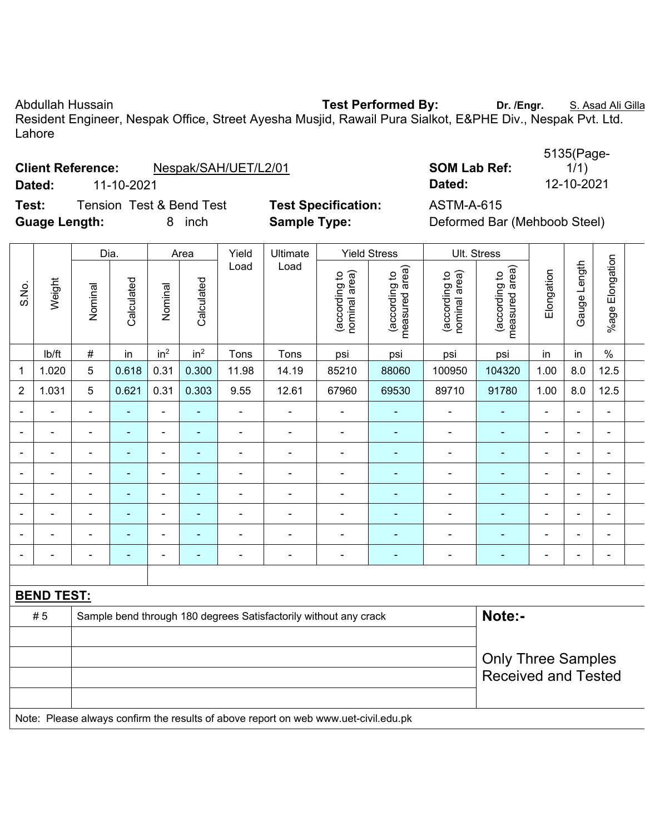Abdullah Hussain **Test Performed By: Dr. /Engr.** S. Asad Ali Gilla Resident Engineer, Nespak Office, Street Ayesha Musjid, Rawail Pura Sialkot, E&PHE Div., Nespak Pvt. Ltd. Lahore

|                      | <b>Client Reference:</b> | Nespak/SAH/UET/L2/01                |                            | <b>SOM Lab Ref:</b>          | 1/1)       |
|----------------------|--------------------------|-------------------------------------|----------------------------|------------------------------|------------|
| Dated:               | 11-10-2021               |                                     |                            | Dated:                       | 12-10-2021 |
| Test:                |                          | <b>Tension Test &amp; Bend Test</b> | <b>Test Specification:</b> | <b>ASTM-A-615</b>            |            |
| <b>Guage Length:</b> |                          | inch                                | <b>Sample Type:</b>        | Deformed Bar (Mehboob Steel) |            |

**SOM Lab Ref:** 5135(Page-1/1)

|                |                | Dia.                     |                |                 | Area            | Yield                    | Ultimate       |                                | <b>Yield Stress</b>             |                                | Ult. Stress                        |                          |                          |                          |  |
|----------------|----------------|--------------------------|----------------|-----------------|-----------------|--------------------------|----------------|--------------------------------|---------------------------------|--------------------------------|------------------------------------|--------------------------|--------------------------|--------------------------|--|
| S.No.          | Weight         | Nominal                  | Calculated     | Nominal         | Calculated      | Load                     | Load           | nominal area)<br>(according to | measured area)<br>(according to | nominal area)<br>(according to | area)<br>(according to<br>measured | Elongation               | Length<br>Gauge          | Elongation<br>$%$ age    |  |
|                | lb/ft          | $\#$                     | in             | in <sup>2</sup> | in <sup>2</sup> | Tons                     | Tons           | psi                            | psi                             | psi                            | psi                                | in                       | in                       | $\%$                     |  |
|                | 1.020          | 5                        | 0.618          | 0.31            | 0.300           | 11.98                    | 14.19          | 85210                          | 88060                           | 100950                         | 104320                             | 1.00                     | 8.0                      | 12.5                     |  |
| $\overline{2}$ | 1.031          | 5                        | 0.621          | 0.31            | 0.303           | 9.55                     | 12.61          | 67960                          | 69530                           | 89710                          | 91780                              | 1.00                     | 8.0                      | 12.5                     |  |
|                |                | ٠                        |                | $\blacksquare$  |                 |                          | ۰              |                                | ۰                               | $\blacksquare$                 |                                    | $\blacksquare$           | $\blacksquare$           | $\blacksquare$           |  |
|                |                | ٠                        | -              | $\blacksquare$  | <b>1</b>        | ٠                        | $\blacksquare$ | $\blacksquare$                 | ۰                               | ٠                              | ٠                                  | -                        | $\blacksquare$           | $\blacksquare$           |  |
|                |                | ٠                        | $\blacksquare$ | ۰               | $\,$ $\,$       | ٠                        | $\blacksquare$ | $\overline{\phantom{0}}$       | ۰                               | ٠                              | $\overline{\phantom{a}}$           | -                        | $\overline{\phantom{a}}$ | $\blacksquare$           |  |
|                |                | $\overline{\phantom{0}}$ | $\equiv$       | $\blacksquare$  |                 |                          | ۰              |                                |                                 | ٠                              |                                    | $\blacksquare$           | $\blacksquare$           | $\overline{\phantom{0}}$ |  |
|                |                | ٠                        | $\blacksquare$ | $\blacksquare$  | $\sim$          | ٠                        | $\blacksquare$ | $\blacksquare$                 | ۰                               | $\blacksquare$                 | $\blacksquare$                     | -                        | $\blacksquare$           | $\blacksquare$           |  |
|                | $\blacksquare$ | $\overline{\phantom{0}}$ | ٠              | ۰               | $\sim$          | $\overline{\phantom{0}}$ | $\blacksquare$ | $\blacksquare$                 | ۰                               | $\blacksquare$                 | $\blacksquare$                     | $\overline{\phantom{0}}$ | $\blacksquare$           | $\blacksquare$           |  |
|                | $\blacksquare$ | $\blacksquare$           | $\blacksquare$ | ۰               | ÷               | $\blacksquare$           | -              | $\blacksquare$                 | ۰                               | $\blacksquare$                 | $\blacksquare$                     | $\overline{\phantom{0}}$ | $\blacksquare$           | $\blacksquare$           |  |
|                |                |                          |                |                 |                 |                          | $\blacksquare$ |                                |                                 |                                |                                    |                          |                          | -                        |  |

|    | <b>BEND TEST:</b>                                                                   |                                                         |  |  |  |  |  |  |  |  |
|----|-------------------------------------------------------------------------------------|---------------------------------------------------------|--|--|--|--|--|--|--|--|
| #5 | Sample bend through 180 degrees Satisfactorily without any crack                    | Note:-                                                  |  |  |  |  |  |  |  |  |
|    |                                                                                     | <b>Only Three Samples</b><br><b>Received and Tested</b> |  |  |  |  |  |  |  |  |
|    | Note: Please always confirm the results of above report on web www.uet-civil.edu.pk |                                                         |  |  |  |  |  |  |  |  |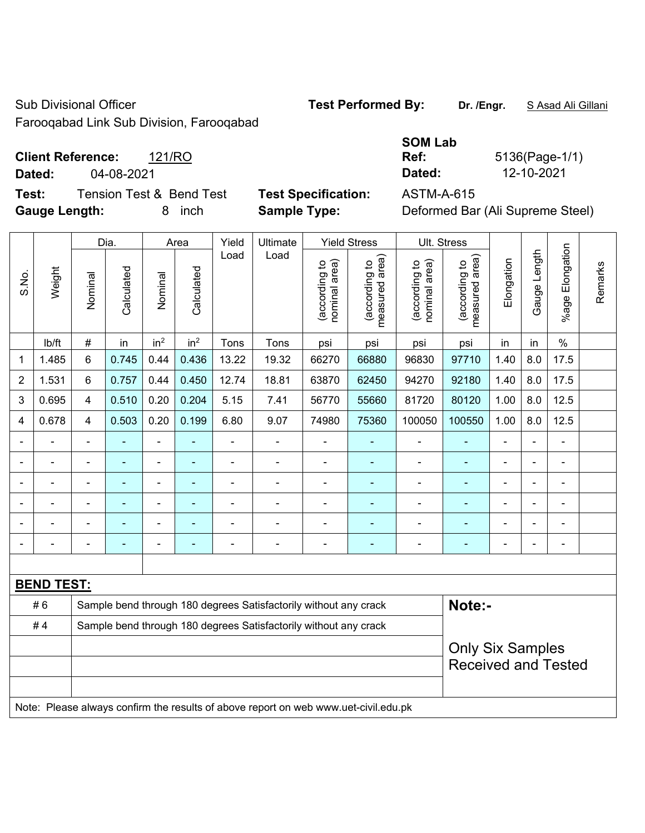Sub Divisional Officer **Test Performed By:** Dr. /Engr. **SAsad Ali Gillani** Sub Divisional Officer

Farooqabad Link Sub Division, Farooqabad

## **Client Reference:** 121/RO

**Test:** Tension Test & Bend Test **Test Specification:** ASTM-A-615 **Gauge Length:** 8 inch **Sample Type:** Deformed Bar (Ali Supreme Steel)

|                          |            | <b>SOM Lab</b> |                |
|--------------------------|------------|----------------|----------------|
| <b>Client Reference:</b> | 121/RO     | Ref:           | 5136(Page-1/1) |
| Dated:                   | 04-08-2021 | Dated:         | 12-10-2021     |

|                |                   |                                                                                     | Dia.                                                                       |                 | Area            | Yield          | Ultimate       |                                | <b>Yield Stress</b>             |                                | Ult. Stress                     |                |                |                       |         |
|----------------|-------------------|-------------------------------------------------------------------------------------|----------------------------------------------------------------------------|-----------------|-----------------|----------------|----------------|--------------------------------|---------------------------------|--------------------------------|---------------------------------|----------------|----------------|-----------------------|---------|
| S.No.          | Weight            | Nominal                                                                             | Calculated                                                                 | Nominal         | Calculated      | Load           | Load           | nominal area)<br>(according to | (according to<br>measured area) | nominal area)<br>(according to | (according to<br>measured area) | Elongation     | Gauge Length   | Elongation<br>$%$ age | Remarks |
|                | lb/ft             | $\#$                                                                                | in                                                                         | in <sup>2</sup> | in <sup>2</sup> | Tons           | Tons           | psi                            | psi                             | psi                            | psi                             | in             | in             | $\%$                  |         |
| 1              | 1.485             | 6                                                                                   | 0.745                                                                      | 0.44            | 0.436           | 13.22          | 19.32          | 66270                          | 66880                           | 96830                          | 97710                           | 1.40           | 8.0            | 17.5                  |         |
| $\overline{2}$ | 1.531             | 6                                                                                   | 0.757                                                                      | 0.44            | 0.450           | 12.74          | 18.81          | 63870                          | 62450                           | 94270                          | 92180                           | 1.40           | 8.0            | 17.5                  |         |
| 3              | 0.695             | $\overline{4}$                                                                      | 0.510                                                                      | 0.20            | 0.204           | 5.15           | 7.41           | 56770                          | 55660                           | 81720                          | 80120                           | 1.00           | 8.0            | 12.5                  |         |
| $\overline{4}$ | 0.678             | 4                                                                                   | 0.503                                                                      | 0.20            | 0.199           | 6.80           | 9.07           | 74980                          | 75360                           | 100050                         | 100550                          | 1.00           | 8.0            | 12.5                  |         |
|                |                   | $\blacksquare$                                                                      | ä,                                                                         | $\blacksquare$  |                 | $\blacksquare$ | $\blacksquare$ | $\blacksquare$                 |                                 | $\blacksquare$                 | $\tilde{\phantom{a}}$           | ä,             | ÷.             | $\blacksquare$        |         |
|                |                   |                                                                                     |                                                                            | ä,              |                 | $\blacksquare$ | $\blacksquare$ | ä,                             |                                 | $\blacksquare$                 | ä,                              |                |                | $\blacksquare$        |         |
|                |                   |                                                                                     |                                                                            | ٠               |                 |                |                | $\blacksquare$                 |                                 | $\blacksquare$                 |                                 |                |                |                       |         |
| $\blacksquare$ | $\blacksquare$    | $\blacksquare$                                                                      | $\overline{\phantom{0}}$                                                   | $\blacksquare$  | $\sim$          | $\blacksquare$ | $\blacksquare$ | $\blacksquare$                 | ٠                               | $\blacksquare$                 | $\blacksquare$                  | $\blacksquare$ |                | $\blacksquare$        |         |
|                |                   | $\blacksquare$                                                                      | $\blacksquare$                                                             | $\blacksquare$  |                 | $\blacksquare$ | $\blacksquare$ | $\blacksquare$                 |                                 | $\blacksquare$                 | $\blacksquare$                  | $\blacksquare$ | $\blacksquare$ | $\blacksquare$        |         |
|                |                   | $\blacksquare$                                                                      | $\blacksquare$                                                             | $\blacksquare$  |                 | Ē,             | $\blacksquare$ | $\blacksquare$                 |                                 | $\blacksquare$                 | $\blacksquare$                  | $\blacksquare$ |                | $\blacksquare$        |         |
|                |                   |                                                                                     |                                                                            |                 |                 |                |                |                                |                                 |                                |                                 |                |                |                       |         |
|                | <b>BEND TEST:</b> |                                                                                     |                                                                            |                 |                 |                |                |                                |                                 |                                |                                 |                |                |                       |         |
|                | #6                |                                                                                     | Note:-<br>Sample bend through 180 degrees Satisfactorily without any crack |                 |                 |                |                |                                |                                 |                                |                                 |                |                |                       |         |
|                | #4                |                                                                                     | Sample bend through 180 degrees Satisfactorily without any crack           |                 |                 |                |                |                                |                                 |                                |                                 |                |                |                       |         |
|                |                   |                                                                                     | <b>Only Six Samples</b><br><b>Received and Tested</b>                      |                 |                 |                |                |                                |                                 |                                |                                 |                |                |                       |         |
|                |                   | Note: Please always confirm the results of above report on web www.uet-civil.edu.pk |                                                                            |                 |                 |                |                |                                |                                 |                                |                                 |                |                |                       |         |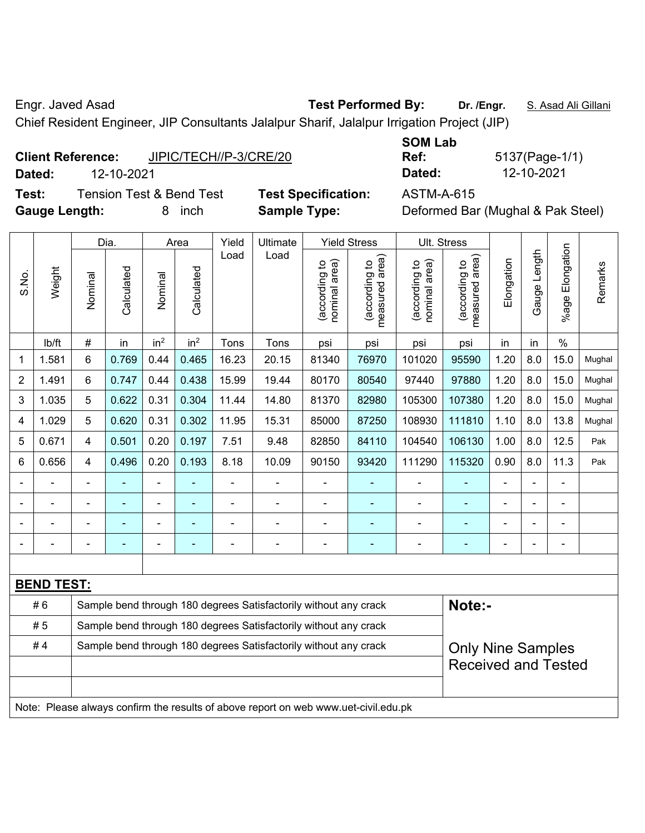Engr. Javed Asad **Test Performed By: Dr. /Engr.** S. Asad Ali Gillani

Chief Resident Engineer, JIP Consultants Jalalpur Sharif, Jalalpur Irrigation Project (JIP)

| <b>Client Reference:</b> | JIPIC/TECH//P-3/CRE/20 |
|--------------------------|------------------------|
|--------------------------|------------------------|

**Test:** Tension Test & Bend Test **Test Specification:** ASTM-A-615 **Gauge Length:** 8 inch **Sample Type:** Deformed Bar (Mughal & Pak Steel)

**SOM Lab Dated:** 12-10-2021 **Dated:** 12-10-2021

**Ref:** 5137(Page-1/1)

|                |                                                                                     |                | Dia.                                                                                         |                          | Area            | Yield          | Ultimate       |                                | <b>Yield Stress</b>                         |                                | Ult. Stress                     |                |                |                 |         |
|----------------|-------------------------------------------------------------------------------------|----------------|----------------------------------------------------------------------------------------------|--------------------------|-----------------|----------------|----------------|--------------------------------|---------------------------------------------|--------------------------------|---------------------------------|----------------|----------------|-----------------|---------|
| S.No.          | Weight                                                                              | Nominal        | Calculated                                                                                   | Nominal                  | Calculated      | Load           | Load           | nominal area)<br>(according to | (according to<br>neasured area)<br>measured | nominal area)<br>(according to | measured area)<br>(according to | Elongation     | Gauge Length   | %age Elongation | Remarks |
|                | lb/ft                                                                               | $\#$           | in                                                                                           | in <sup>2</sup>          | in <sup>2</sup> | Tons           | Tons           | psi                            | psi                                         | psi                            | psi                             | in             | in             | $\frac{0}{0}$   |         |
| 1              | 1.581                                                                               | 6              | 0.769                                                                                        | 0.44                     | 0.465           | 16.23          | 20.15          | 81340                          | 76970                                       | 101020                         | 95590                           | 1.20           | 8.0            | 15.0            | Mughal  |
| $\overline{2}$ | 1.491                                                                               | 6              | 0.747                                                                                        | 0.44                     | 0.438           | 15.99          | 19.44          | 80170                          | 80540                                       | 97440                          | 97880                           | 1.20           | 8.0            | 15.0            | Mughal  |
| 3              | 1.035                                                                               | 5              | 0.622                                                                                        | 0.31                     | 0.304           | 11.44          | 14.80          | 81370                          | 82980                                       | 105300                         | 107380                          | 1.20           | 8.0            | 15.0            | Mughal  |
| 4              | 1.029                                                                               | 5              | 0.620                                                                                        | 0.31                     | 0.302           | 11.95          | 15.31          | 85000                          | 87250                                       | 108930                         | 111810                          | 1.10           | 8.0            | 13.8            | Mughal  |
| 5              | 0.671                                                                               | 4              | 0.501                                                                                        | 0.20                     | 0.197           | 7.51           | 9.48           | 82850                          | 84110                                       | 104540                         | 106130                          | 1.00           | 8.0            | 12.5            | Pak     |
| 6              | 0.656                                                                               | 4              | 0.496                                                                                        | 0.20                     | 0.193           | 8.18           | 10.09          | 90150                          | 93420                                       | 111290                         | 115320                          | 0.90           | 8.0            | 11.3            | Pak     |
|                |                                                                                     | $\blacksquare$ |                                                                                              | ÷                        |                 | ä,             | ÷,             | $\blacksquare$                 |                                             | $\blacksquare$                 | ä,                              |                |                |                 |         |
|                | $\blacksquare$                                                                      |                | ۳                                                                                            | $\blacksquare$           |                 | $\blacksquare$ | $\blacksquare$ |                                | ä,                                          |                                |                                 |                |                |                 |         |
|                | $\blacksquare$                                                                      |                | $\overline{\phantom{0}}$                                                                     | -                        |                 |                | ÷              |                                | ÷                                           | $\blacksquare$                 | $\overline{\phantom{0}}$        |                | $\blacksquare$ | $\blacksquare$  |         |
|                |                                                                                     | $\blacksquare$ | ۰                                                                                            | $\overline{\phantom{0}}$ | -               | ÷              | ÷              | $\overline{a}$                 | $\overline{\phantom{0}}$                    | $\overline{\phantom{0}}$       | $\overline{\phantom{0}}$        | $\blacksquare$ | $\overline{a}$ | $\blacksquare$  |         |
|                |                                                                                     |                |                                                                                              |                          |                 |                |                |                                |                                             |                                |                                 |                |                |                 |         |
|                | <b>BEND TEST:</b>                                                                   |                |                                                                                              |                          |                 |                |                |                                |                                             |                                |                                 |                |                |                 |         |
|                | #6                                                                                  |                | Note:-<br>Sample bend through 180 degrees Satisfactorily without any crack                   |                          |                 |                |                |                                |                                             |                                |                                 |                |                |                 |         |
|                | #5                                                                                  |                | Sample bend through 180 degrees Satisfactorily without any crack                             |                          |                 |                |                |                                |                                             |                                |                                 |                |                |                 |         |
|                | #4                                                                                  |                | Sample bend through 180 degrees Satisfactorily without any crack<br><b>Only Nine Samples</b> |                          |                 |                |                |                                |                                             |                                |                                 |                |                |                 |         |
|                |                                                                                     |                | <b>Received and Tested</b>                                                                   |                          |                 |                |                |                                |                                             |                                |                                 |                |                |                 |         |
|                |                                                                                     |                |                                                                                              |                          |                 |                |                |                                |                                             |                                |                                 |                |                |                 |         |
|                | Note: Please always confirm the results of above report on web www.uet-civil.edu.pk |                |                                                                                              |                          |                 |                |                |                                |                                             |                                |                                 |                |                |                 |         |